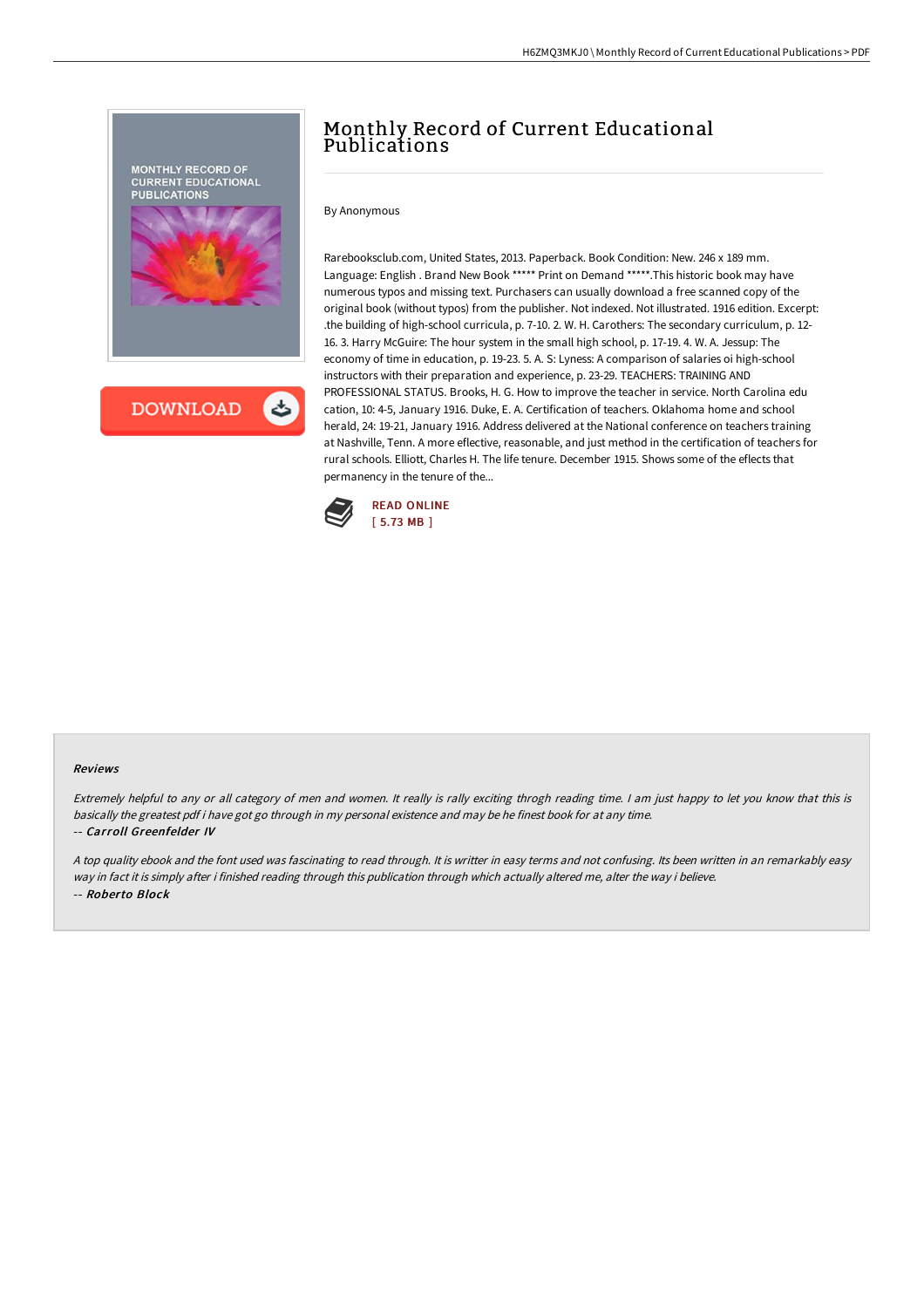

## Monthly Record of Current Educational Publications

By Anonymous

Rarebooksclub.com, United States, 2013. Paperback. Book Condition: New. 246 x 189 mm. Language: English . Brand New Book \*\*\*\*\* Print on Demand \*\*\*\*\*.This historic book may have numerous typos and missing text. Purchasers can usually download a free scanned copy of the original book (without typos) from the publisher. Not indexed. Not illustrated. 1916 edition. Excerpt: .the building of high-school curricula, p. 7-10. 2. W. H. Carothers: The secondary curriculum, p. 12- 16. 3. Harry McGuire: The hour system in the small high school, p. 17-19. 4. W. A. Jessup: The economy of time in education, p. 19-23. 5. A. S: Lyness: A comparison of salaries oi high-school instructors with their preparation and experience, p. 23-29. TEACHERS: TRAINING AND PROFESSIONAL STATUS. Brooks, H. G. How to improve the teacher in service. North Carolina edu cation, 10: 4-5, January 1916. Duke, E. A. Certification of teachers. Oklahoma home and school herald, 24: 19-21, January 1916. Address delivered at the National conference on teachers training at Nashville, Tenn. A more eflective, reasonable, and just method in the certification of teachers for rural schools. Elliott, Charles H. The life tenure. December 1915. Shows some of the eflects that permanency in the tenure of the...



## Reviews

Extremely helpful to any or all category of men and women. It really is rally exciting throgh reading time. <sup>I</sup> am just happy to let you know that this is basically the greatest pdf i have got go through in my personal existence and may be he finest book for at any time. -- Carroll Greenfelder IV

<sup>A</sup> top quality ebook and the font used was fascinating to read through. It is writter in easy terms and not confusing. Its been written in an remarkably easy way in fact it is simply after i finished reading through this publication through which actually altered me, alter the way i believe. -- Roberto Block